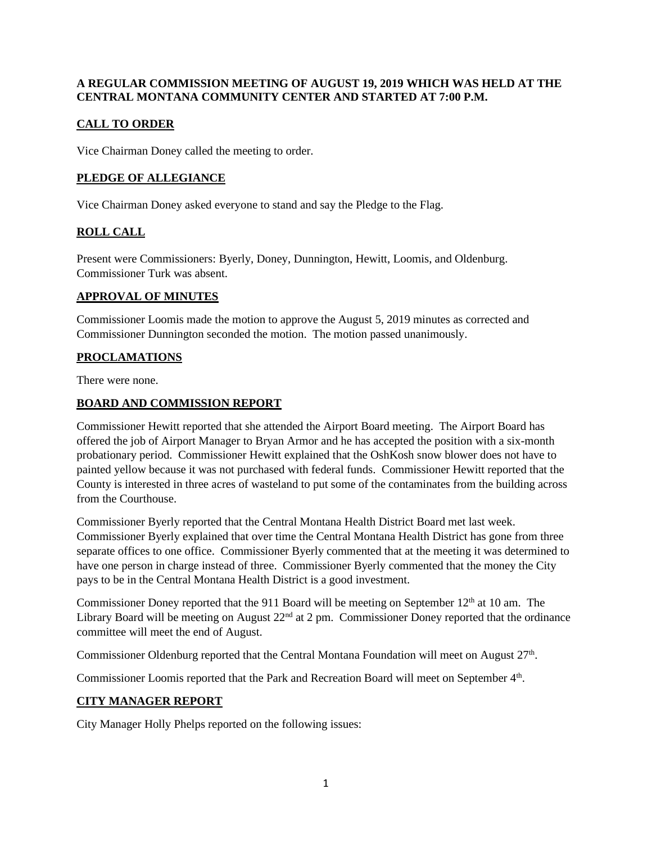#### **A REGULAR COMMISSION MEETING OF AUGUST 19, 2019 WHICH WAS HELD AT THE CENTRAL MONTANA COMMUNITY CENTER AND STARTED AT 7:00 P.M.**

# **CALL TO ORDER**

Vice Chairman Doney called the meeting to order.

## **PLEDGE OF ALLEGIANCE**

Vice Chairman Doney asked everyone to stand and say the Pledge to the Flag.

# **ROLL CALL**

Present were Commissioners: Byerly, Doney, Dunnington, Hewitt, Loomis, and Oldenburg. Commissioner Turk was absent.

#### **APPROVAL OF MINUTES**

Commissioner Loomis made the motion to approve the August 5, 2019 minutes as corrected and Commissioner Dunnington seconded the motion. The motion passed unanimously.

## **PROCLAMATIONS**

There were none.

## **BOARD AND COMMISSION REPORT**

Commissioner Hewitt reported that she attended the Airport Board meeting. The Airport Board has offered the job of Airport Manager to Bryan Armor and he has accepted the position with a six-month probationary period. Commissioner Hewitt explained that the OshKosh snow blower does not have to painted yellow because it was not purchased with federal funds. Commissioner Hewitt reported that the County is interested in three acres of wasteland to put some of the contaminates from the building across from the Courthouse.

Commissioner Byerly reported that the Central Montana Health District Board met last week. Commissioner Byerly explained that over time the Central Montana Health District has gone from three separate offices to one office. Commissioner Byerly commented that at the meeting it was determined to have one person in charge instead of three. Commissioner Byerly commented that the money the City pays to be in the Central Montana Health District is a good investment.

Commissioner Doney reported that the 911 Board will be meeting on September  $12<sup>th</sup>$  at 10 am. The Library Board will be meeting on August 22<sup>nd</sup> at 2 pm. Commissioner Doney reported that the ordinance committee will meet the end of August.

Commissioner Oldenburg reported that the Central Montana Foundation will meet on August 27<sup>th</sup>.

Commissioner Loomis reported that the Park and Recreation Board will meet on September 4<sup>th</sup>.

## **CITY MANAGER REPORT**

City Manager Holly Phelps reported on the following issues: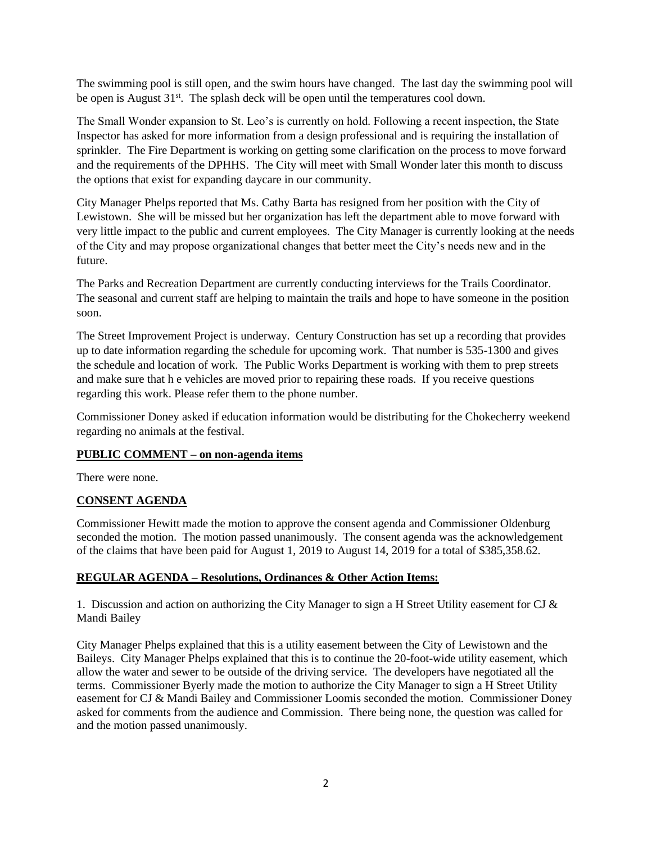The swimming pool is still open, and the swim hours have changed. The last day the swimming pool will be open is August  $31<sup>st</sup>$ . The splash deck will be open until the temperatures cool down.

The Small Wonder expansion to St. Leo's is currently on hold. Following a recent inspection, the State Inspector has asked for more information from a design professional and is requiring the installation of sprinkler. The Fire Department is working on getting some clarification on the process to move forward and the requirements of the DPHHS. The City will meet with Small Wonder later this month to discuss the options that exist for expanding daycare in our community.

City Manager Phelps reported that Ms. Cathy Barta has resigned from her position with the City of Lewistown. She will be missed but her organization has left the department able to move forward with very little impact to the public and current employees. The City Manager is currently looking at the needs of the City and may propose organizational changes that better meet the City's needs new and in the future.

The Parks and Recreation Department are currently conducting interviews for the Trails Coordinator. The seasonal and current staff are helping to maintain the trails and hope to have someone in the position soon.

The Street Improvement Project is underway. Century Construction has set up a recording that provides up to date information regarding the schedule for upcoming work. That number is 535-1300 and gives the schedule and location of work. The Public Works Department is working with them to prep streets and make sure that h e vehicles are moved prior to repairing these roads. If you receive questions regarding this work. Please refer them to the phone number.

Commissioner Doney asked if education information would be distributing for the Chokecherry weekend regarding no animals at the festival.

## **PUBLIC COMMENT – on non-agenda items**

There were none.

## **CONSENT AGENDA**

Commissioner Hewitt made the motion to approve the consent agenda and Commissioner Oldenburg seconded the motion. The motion passed unanimously. The consent agenda was the acknowledgement of the claims that have been paid for August 1, 2019 to August 14, 2019 for a total of \$385,358.62.

#### **REGULAR AGENDA – Resolutions, Ordinances & Other Action Items:**

1. Discussion and action on authorizing the City Manager to sign a H Street Utility easement for CJ & Mandi Bailey

City Manager Phelps explained that this is a utility easement between the City of Lewistown and the Baileys. City Manager Phelps explained that this is to continue the 20-foot-wide utility easement, which allow the water and sewer to be outside of the driving service. The developers have negotiated all the terms. Commissioner Byerly made the motion to authorize the City Manager to sign a H Street Utility easement for CJ & Mandi Bailey and Commissioner Loomis seconded the motion. Commissioner Doney asked for comments from the audience and Commission. There being none, the question was called for and the motion passed unanimously.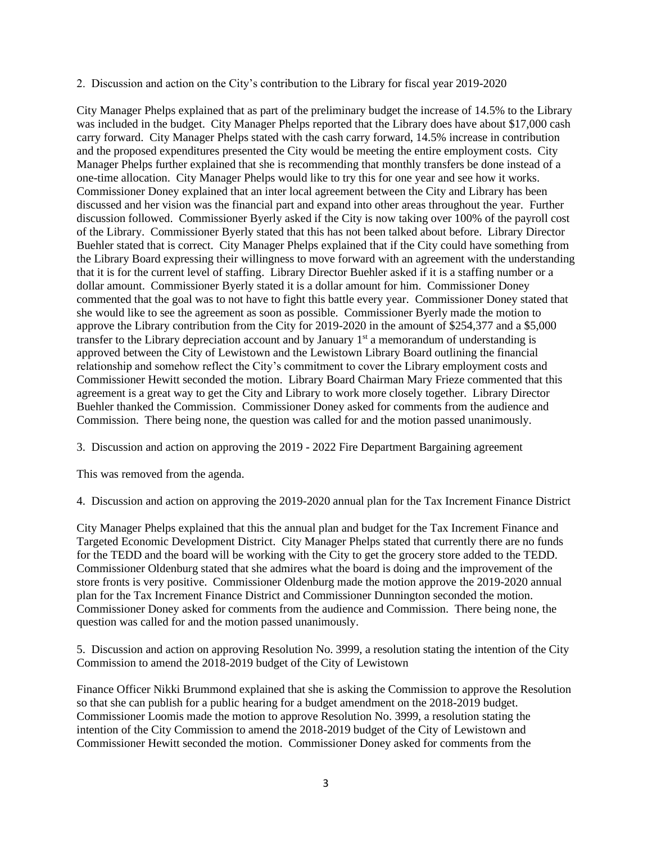2. Discussion and action on the City's contribution to the Library for fiscal year 2019-2020

City Manager Phelps explained that as part of the preliminary budget the increase of 14.5% to the Library was included in the budget. City Manager Phelps reported that the Library does have about \$17,000 cash carry forward. City Manager Phelps stated with the cash carry forward, 14.5% increase in contribution and the proposed expenditures presented the City would be meeting the entire employment costs. City Manager Phelps further explained that she is recommending that monthly transfers be done instead of a one-time allocation. City Manager Phelps would like to try this for one year and see how it works. Commissioner Doney explained that an inter local agreement between the City and Library has been discussed and her vision was the financial part and expand into other areas throughout the year. Further discussion followed. Commissioner Byerly asked if the City is now taking over 100% of the payroll cost of the Library. Commissioner Byerly stated that this has not been talked about before. Library Director Buehler stated that is correct. City Manager Phelps explained that if the City could have something from the Library Board expressing their willingness to move forward with an agreement with the understanding that it is for the current level of staffing. Library Director Buehler asked if it is a staffing number or a dollar amount. Commissioner Byerly stated it is a dollar amount for him. Commissioner Doney commented that the goal was to not have to fight this battle every year. Commissioner Doney stated that she would like to see the agreement as soon as possible. Commissioner Byerly made the motion to approve the Library contribution from the City for 2019-2020 in the amount of \$254,377 and a \$5,000 transfer to the Library depreciation account and by January  $1<sup>st</sup>$  a memorandum of understanding is approved between the City of Lewistown and the Lewistown Library Board outlining the financial relationship and somehow reflect the City's commitment to cover the Library employment costs and Commissioner Hewitt seconded the motion. Library Board Chairman Mary Frieze commented that this agreement is a great way to get the City and Library to work more closely together. Library Director Buehler thanked the Commission. Commissioner Doney asked for comments from the audience and Commission. There being none, the question was called for and the motion passed unanimously.

3. Discussion and action on approving the 2019 - 2022 Fire Department Bargaining agreement

This was removed from the agenda.

4. Discussion and action on approving the 2019-2020 annual plan for the Tax Increment Finance District

City Manager Phelps explained that this the annual plan and budget for the Tax Increment Finance and Targeted Economic Development District. City Manager Phelps stated that currently there are no funds for the TEDD and the board will be working with the City to get the grocery store added to the TEDD. Commissioner Oldenburg stated that she admires what the board is doing and the improvement of the store fronts is very positive. Commissioner Oldenburg made the motion approve the 2019-2020 annual plan for the Tax Increment Finance District and Commissioner Dunnington seconded the motion. Commissioner Doney asked for comments from the audience and Commission. There being none, the question was called for and the motion passed unanimously.

5. Discussion and action on approving Resolution No. 3999, a resolution stating the intention of the City Commission to amend the 2018-2019 budget of the City of Lewistown

Finance Officer Nikki Brummond explained that she is asking the Commission to approve the Resolution so that she can publish for a public hearing for a budget amendment on the 2018-2019 budget. Commissioner Loomis made the motion to approve Resolution No. 3999, a resolution stating the intention of the City Commission to amend the 2018-2019 budget of the City of Lewistown and Commissioner Hewitt seconded the motion. Commissioner Doney asked for comments from the